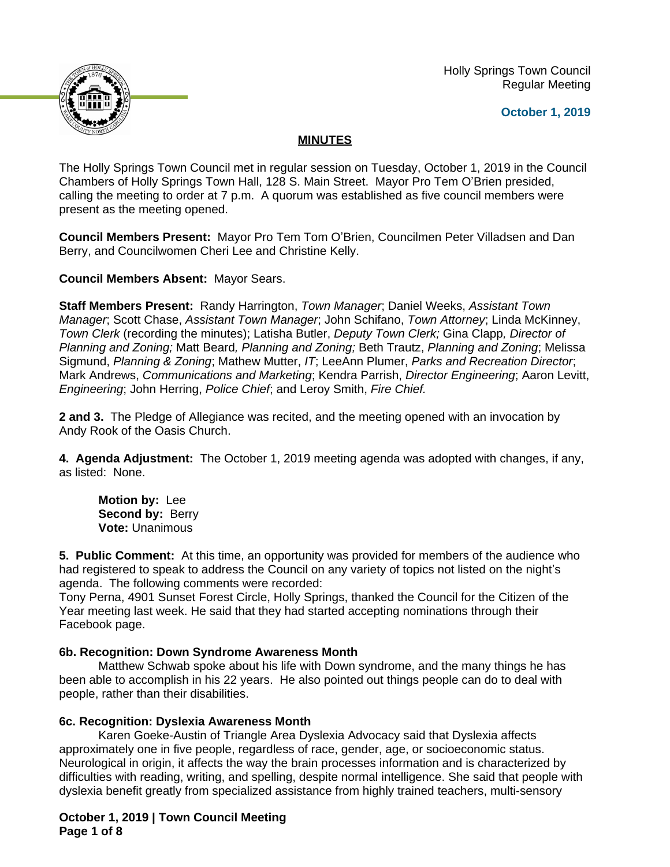

 Holly Springs Town Council Regular Meeting

## **October 1, 2019**

# **MINUTES**

The Holly Springs Town Council met in regular session on Tuesday, October 1, 2019 in the Council Chambers of Holly Springs Town Hall, 128 S. Main Street. Mayor Pro Tem O'Brien presided, calling the meeting to order at 7 p.m. A quorum was established as five council members were present as the meeting opened.

**Council Members Present:** Mayor Pro Tem Tom O'Brien, Councilmen Peter Villadsen and Dan Berry, and Councilwomen Cheri Lee and Christine Kelly.

**Council Members Absent:** Mayor Sears.

**Staff Members Present:** Randy Harrington, *Town Manager*; Daniel Weeks, *Assistant Town Manager*; Scott Chase, *Assistant Town Manager*; John Schifano, *Town Attorney*; Linda McKinney, *Town Clerk* (recording the minutes); Latisha Butler, *Deputy Town Clerk;* Gina Clapp*, Director of Planning and Zoning;* Matt Beard*, Planning and Zoning;* Beth Trautz, *Planning and Zoning*; Melissa Sigmund, *Planning & Zoning*; Mathew Mutter, *IT*; LeeAnn Plumer, *Parks and Recreation Director*; Mark Andrews, *Communications and Marketing*; Kendra Parrish, *Director Engineering*; Aaron Levitt, *Engineering*; John Herring, *Police Chief*; and Leroy Smith, *Fire Chief.*

**2 and 3.** The Pledge of Allegiance was recited, and the meeting opened with an invocation by Andy Rook of the Oasis Church.

**4. Agenda Adjustment:** The October 1, 2019 meeting agenda was adopted with changes, if any, as listed: None.

**Motion by:** Lee **Second by: Berry Vote:** Unanimous

**5. Public Comment:** At this time, an opportunity was provided for members of the audience who had registered to speak to address the Council on any variety of topics not listed on the night's agenda. The following comments were recorded:

Tony Perna, 4901 Sunset Forest Circle, Holly Springs, thanked the Council for the Citizen of the Year meeting last week. He said that they had started accepting nominations through their Facebook page.

# **6b. Recognition: Down Syndrome Awareness Month**

Matthew Schwab spoke about his life with Down syndrome, and the many things he has been able to accomplish in his 22 years. He also pointed out things people can do to deal with people, rather than their disabilities.

#### **6c. Recognition: Dyslexia Awareness Month**

Karen Goeke-Austin of Triangle Area Dyslexia Advocacy said that Dyslexia affects approximately one in five people, regardless of race, gender, age, or socioeconomic status. Neurological in origin, it affects the way the brain processes information and is characterized by difficulties with reading, writing, and spelling, despite normal intelligence. She said that people with dyslexia benefit greatly from specialized assistance from highly trained teachers, multi-sensory

**October 1, 2019 | Town Council Meeting Page 1 of 8**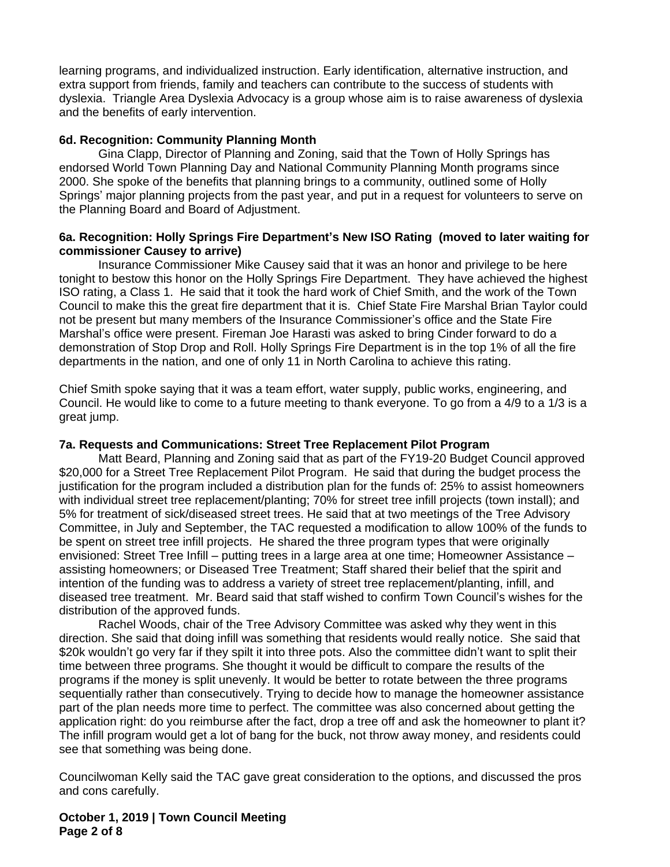learning programs, and individualized instruction. Early identification, alternative instruction, and extra support from friends, family and teachers can contribute to the success of students with dyslexia. Triangle Area Dyslexia Advocacy is a group whose aim is to raise awareness of dyslexia and the benefits of early intervention.

## **6d. Recognition: Community Planning Month**

Gina Clapp, Director of Planning and Zoning, said that the Town of Holly Springs has endorsed World Town Planning Day and National Community Planning Month programs since 2000. She spoke of the benefits that planning brings to a community, outlined some of Holly Springs' major planning projects from the past year, and put in a request for volunteers to serve on the Planning Board and Board of Adjustment.

#### **6a. Recognition: Holly Springs Fire Department's New ISO Rating (moved to later waiting for commissioner Causey to arrive)**

Insurance Commissioner Mike Causey said that it was an honor and privilege to be here tonight to bestow this honor on the Holly Springs Fire Department. They have achieved the highest ISO rating, a Class 1. He said that it took the hard work of Chief Smith, and the work of the Town Council to make this the great fire department that it is. Chief State Fire Marshal Brian Taylor could not be present but many members of the Insurance Commissioner's office and the State Fire Marshal's office were present. Fireman Joe Harasti was asked to bring Cinder forward to do a demonstration of Stop Drop and Roll. Holly Springs Fire Department is in the top 1% of all the fire departments in the nation, and one of only 11 in North Carolina to achieve this rating.

Chief Smith spoke saying that it was a team effort, water supply, public works, engineering, and Council. He would like to come to a future meeting to thank everyone. To go from a 4/9 to a 1/3 is a great jump.

#### **7a. Requests and Communications: Street Tree Replacement Pilot Program**

Matt Beard, Planning and Zoning said that as part of the FY19-20 Budget Council approved \$20,000 for a Street Tree Replacement Pilot Program. He said that during the budget process the justification for the program included a distribution plan for the funds of: 25% to assist homeowners with individual street tree replacement/planting; 70% for street tree infill projects (town install); and 5% for treatment of sick/diseased street trees. He said that at two meetings of the Tree Advisory Committee, in July and September, the TAC requested a modification to allow 100% of the funds to be spent on street tree infill projects. He shared the three program types that were originally envisioned: Street Tree Infill – putting trees in a large area at one time; Homeowner Assistance – assisting homeowners; or Diseased Tree Treatment; Staff shared their belief that the spirit and intention of the funding was to address a variety of street tree replacement/planting, infill, and diseased tree treatment. Mr. Beard said that staff wished to confirm Town Council's wishes for the distribution of the approved funds.

Rachel Woods, chair of the Tree Advisory Committee was asked why they went in this direction. She said that doing infill was something that residents would really notice. She said that \$20k wouldn't go very far if they spilt it into three pots. Also the committee didn't want to split their time between three programs. She thought it would be difficult to compare the results of the programs if the money is split unevenly. It would be better to rotate between the three programs sequentially rather than consecutively. Trying to decide how to manage the homeowner assistance part of the plan needs more time to perfect. The committee was also concerned about getting the application right: do you reimburse after the fact, drop a tree off and ask the homeowner to plant it? The infill program would get a lot of bang for the buck, not throw away money, and residents could see that something was being done.

Councilwoman Kelly said the TAC gave great consideration to the options, and discussed the pros and cons carefully.

**October 1, 2019 | Town Council Meeting Page 2 of 8**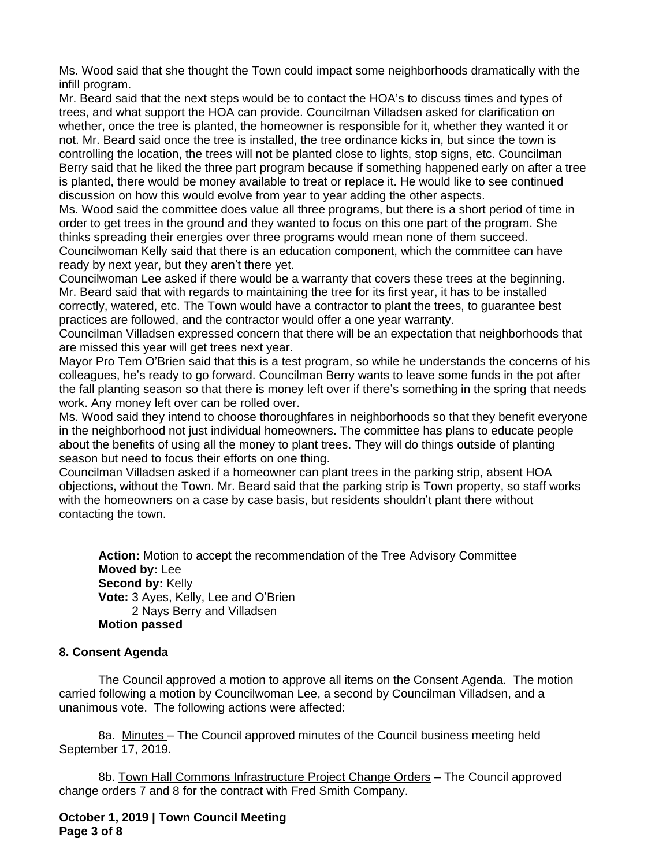Ms. Wood said that she thought the Town could impact some neighborhoods dramatically with the infill program.

Mr. Beard said that the next steps would be to contact the HOA's to discuss times and types of trees, and what support the HOA can provide. Councilman Villadsen asked for clarification on whether, once the tree is planted, the homeowner is responsible for it, whether they wanted it or not. Mr. Beard said once the tree is installed, the tree ordinance kicks in, but since the town is controlling the location, the trees will not be planted close to lights, stop signs, etc. Councilman Berry said that he liked the three part program because if something happened early on after a tree is planted, there would be money available to treat or replace it. He would like to see continued discussion on how this would evolve from year to year adding the other aspects.

Ms. Wood said the committee does value all three programs, but there is a short period of time in order to get trees in the ground and they wanted to focus on this one part of the program. She thinks spreading their energies over three programs would mean none of them succeed. Councilwoman Kelly said that there is an education component, which the committee can have ready by next year, but they aren't there yet.

Councilwoman Lee asked if there would be a warranty that covers these trees at the beginning. Mr. Beard said that with regards to maintaining the tree for its first year, it has to be installed correctly, watered, etc. The Town would have a contractor to plant the trees, to guarantee best practices are followed, and the contractor would offer a one year warranty.

Councilman Villadsen expressed concern that there will be an expectation that neighborhoods that are missed this year will get trees next year.

Mayor Pro Tem O'Brien said that this is a test program, so while he understands the concerns of his colleagues, he's ready to go forward. Councilman Berry wants to leave some funds in the pot after the fall planting season so that there is money left over if there's something in the spring that needs work. Any money left over can be rolled over.

Ms. Wood said they intend to choose thoroughfares in neighborhoods so that they benefit everyone in the neighborhood not just individual homeowners. The committee has plans to educate people about the benefits of using all the money to plant trees. They will do things outside of planting season but need to focus their efforts on one thing.

Councilman Villadsen asked if a homeowner can plant trees in the parking strip, absent HOA objections, without the Town. Mr. Beard said that the parking strip is Town property, so staff works with the homeowners on a case by case basis, but residents shouldn't plant there without contacting the town.

**Action:** Motion to accept the recommendation of the Tree Advisory Committee **Moved by:** Lee **Second by: Kelly Vote:** 3 Ayes, Kelly, Lee and O'Brien 2 Nays Berry and Villadsen **Motion passed**

# **8. Consent Agenda**

The Council approved a motion to approve all items on the Consent Agenda. The motion carried following a motion by Councilwoman Lee, a second by Councilman Villadsen, and a unanimous vote. The following actions were affected:

8a. Minutes – The Council approved minutes of the Council business meeting held September 17, 2019.

8b. Town Hall Commons Infrastructure Project Change Orders – The Council approved change orders 7 and 8 for the contract with Fred Smith Company.

**October 1, 2019 | Town Council Meeting Page 3 of 8**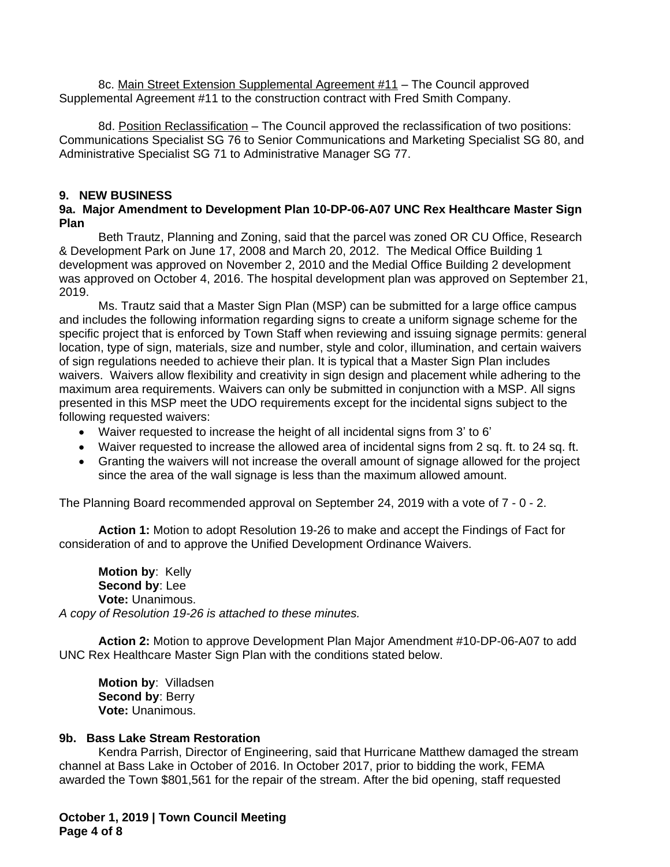8c. Main Street Extension Supplemental Agreement #11 - The Council approved Supplemental Agreement #11 to the construction contract with Fred Smith Company.

8d. Position Reclassification - The Council approved the reclassification of two positions: Communications Specialist SG 76 to Senior Communications and Marketing Specialist SG 80, and Administrative Specialist SG 71 to Administrative Manager SG 77.

## **9. NEW BUSINESS**

## **9a. Major Amendment to Development Plan 10-DP-06-A07 UNC Rex Healthcare Master Sign Plan**

Beth Trautz, Planning and Zoning, said that the parcel was zoned OR CU Office, Research & Development Park on June 17, 2008 and March 20, 2012. The Medical Office Building 1 development was approved on November 2, 2010 and the Medial Office Building 2 development was approved on October 4, 2016. The hospital development plan was approved on September 21, 2019.

Ms. Trautz said that a Master Sign Plan (MSP) can be submitted for a large office campus and includes the following information regarding signs to create a uniform signage scheme for the specific project that is enforced by Town Staff when reviewing and issuing signage permits: general location, type of sign, materials, size and number, style and color, illumination, and certain waivers of sign regulations needed to achieve their plan. It is typical that a Master Sign Plan includes waivers. Waivers allow flexibility and creativity in sign design and placement while adhering to the maximum area requirements. Waivers can only be submitted in conjunction with a MSP. All signs presented in this MSP meet the UDO requirements except for the incidental signs subject to the following requested waivers:

- Waiver requested to increase the height of all incidental signs from 3' to 6'
- Waiver requested to increase the allowed area of incidental signs from 2 sq. ft. to 24 sq. ft.
- Granting the waivers will not increase the overall amount of signage allowed for the project since the area of the wall signage is less than the maximum allowed amount.

The Planning Board recommended approval on September 24, 2019 with a vote of 7 - 0 - 2.

**Action 1:** Motion to adopt Resolution 19-26 to make and accept the Findings of Fact for consideration of and to approve the Unified Development Ordinance Waivers.

**Motion by**: Kelly **Second by**: Lee **Vote:** Unanimous. *A copy of Resolution 19-26 is attached to these minutes.*

**Action 2:** Motion to approve Development Plan Major Amendment #10-DP-06-A07 to add UNC Rex Healthcare Master Sign Plan with the conditions stated below.

**Motion by**: Villadsen **Second by**: Berry **Vote:** Unanimous.

# **9b. Bass Lake Stream Restoration**

Kendra Parrish, Director of Engineering, said that Hurricane Matthew damaged the stream channel at Bass Lake in October of 2016. In October 2017, prior to bidding the work, FEMA awarded the Town \$801,561 for the repair of the stream. After the bid opening, staff requested

**October 1, 2019 | Town Council Meeting Page 4 of 8**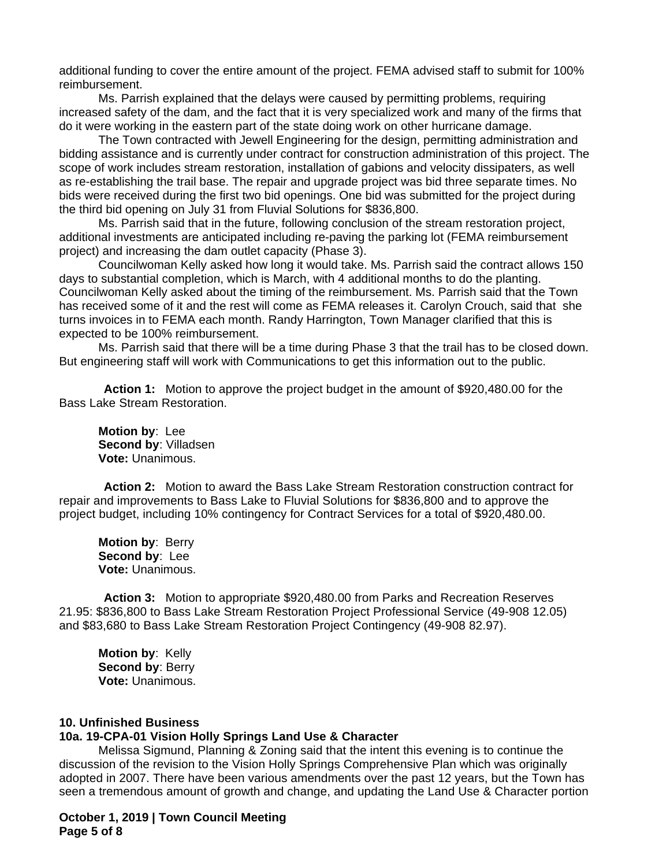additional funding to cover the entire amount of the project. FEMA advised staff to submit for 100% reimbursement.

Ms. Parrish explained that the delays were caused by permitting problems, requiring increased safety of the dam, and the fact that it is very specialized work and many of the firms that do it were working in the eastern part of the state doing work on other hurricane damage.

The Town contracted with Jewell Engineering for the design, permitting administration and bidding assistance and is currently under contract for construction administration of this project. The scope of work includes stream restoration, installation of gabions and velocity dissipaters, as well as re-establishing the trail base. The repair and upgrade project was bid three separate times. No bids were received during the first two bid openings. One bid was submitted for the project during the third bid opening on July 31 from Fluvial Solutions for \$836,800.

Ms. Parrish said that in the future, following conclusion of the stream restoration project, additional investments are anticipated including re-paving the parking lot (FEMA reimbursement project) and increasing the dam outlet capacity (Phase 3).

Councilwoman Kelly asked how long it would take. Ms. Parrish said the contract allows 150 days to substantial completion, which is March, with 4 additional months to do the planting. Councilwoman Kelly asked about the timing of the reimbursement. Ms. Parrish said that the Town has received some of it and the rest will come as FEMA releases it. Carolyn Crouch, said that she turns invoices in to FEMA each month. Randy Harrington, Town Manager clarified that this is expected to be 100% reimbursement.

Ms. Parrish said that there will be a time during Phase 3 that the trail has to be closed down. But engineering staff will work with Communications to get this information out to the public.

**Action 1:** Motion to approve the project budget in the amount of \$920,480.00 for the Bass Lake Stream Restoration.

**Motion by**: Lee **Second by**: Villadsen **Vote:** Unanimous.

**Action 2:** Motion to award the Bass Lake Stream Restoration construction contract for repair and improvements to Bass Lake to Fluvial Solutions for \$836,800 and to approve the project budget, including 10% contingency for Contract Services for a total of \$920,480.00.

**Motion by**: Berry **Second by**: Lee **Vote:** Unanimous.

**Action 3:** Motion to appropriate \$920,480.00 from Parks and Recreation Reserves 21.95: \$836,800 to Bass Lake Stream Restoration Project Professional Service (49-908 12.05) and \$83,680 to Bass Lake Stream Restoration Project Contingency (49-908 82.97).

**Motion by**: Kelly **Second by**: Berry **Vote:** Unanimous.

# **10. Unfinished Business**

#### **10a. 19-CPA-01 Vision Holly Springs Land Use & Character**

Melissa Sigmund, Planning & Zoning said that the intent this evening is to continue the discussion of the revision to the Vision Holly Springs Comprehensive Plan which was originally adopted in 2007. There have been various amendments over the past 12 years, but the Town has seen a tremendous amount of growth and change, and updating the Land Use & Character portion

**October 1, 2019 | Town Council Meeting Page 5 of 8**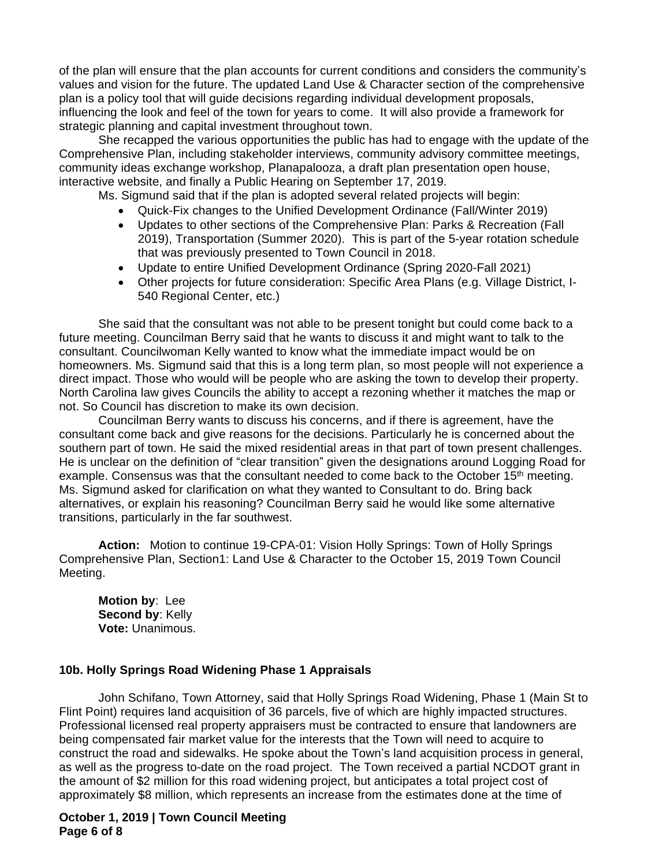of the plan will ensure that the plan accounts for current conditions and considers the community's values and vision for the future. The updated Land Use & Character section of the comprehensive plan is a policy tool that will guide decisions regarding individual development proposals, influencing the look and feel of the town for years to come. It will also provide a framework for strategic planning and capital investment throughout town.

She recapped the various opportunities the public has had to engage with the update of the Comprehensive Plan, including stakeholder interviews, community advisory committee meetings, community ideas exchange workshop, Planapalooza, a draft plan presentation open house, interactive website, and finally a Public Hearing on September 17, 2019.

Ms. Sigmund said that if the plan is adopted several related projects will begin:

- Quick-Fix changes to the Unified Development Ordinance (Fall/Winter 2019)
- Updates to other sections of the Comprehensive Plan: Parks & Recreation (Fall 2019), Transportation (Summer 2020). This is part of the 5-year rotation schedule that was previously presented to Town Council in 2018.
- Update to entire Unified Development Ordinance (Spring 2020-Fall 2021)
- Other projects for future consideration: Specific Area Plans (e.g. Village District, I-540 Regional Center, etc.)

She said that the consultant was not able to be present tonight but could come back to a future meeting. Councilman Berry said that he wants to discuss it and might want to talk to the consultant. Councilwoman Kelly wanted to know what the immediate impact would be on homeowners. Ms. Sigmund said that this is a long term plan, so most people will not experience a direct impact. Those who would will be people who are asking the town to develop their property. North Carolina law gives Councils the ability to accept a rezoning whether it matches the map or not. So Council has discretion to make its own decision.

Councilman Berry wants to discuss his concerns, and if there is agreement, have the consultant come back and give reasons for the decisions. Particularly he is concerned about the southern part of town. He said the mixed residential areas in that part of town present challenges. He is unclear on the definition of "clear transition" given the designations around Logging Road for example. Consensus was that the consultant needed to come back to the October 15<sup>th</sup> meeting. Ms. Sigmund asked for clarification on what they wanted to Consultant to do. Bring back alternatives, or explain his reasoning? Councilman Berry said he would like some alternative transitions, particularly in the far southwest.

**Action:** Motion to continue 19-CPA-01: Vision Holly Springs: Town of Holly Springs Comprehensive Plan, Section1: Land Use & Character to the October 15, 2019 Town Council Meeting.

**Motion by**: Lee **Second by**: Kelly **Vote:** Unanimous.

# **10b. Holly Springs Road Widening Phase 1 Appraisals**

John Schifano, Town Attorney, said that Holly Springs Road Widening, Phase 1 (Main St to Flint Point) requires land acquisition of 36 parcels, five of which are highly impacted structures. Professional licensed real property appraisers must be contracted to ensure that landowners are being compensated fair market value for the interests that the Town will need to acquire to construct the road and sidewalks. He spoke about the Town's land acquisition process in general, as well as the progress to-date on the road project. The Town received a partial NCDOT grant in the amount of \$2 million for this road widening project, but anticipates a total project cost of approximately \$8 million, which represents an increase from the estimates done at the time of

#### **October 1, 2019 | Town Council Meeting Page 6 of 8**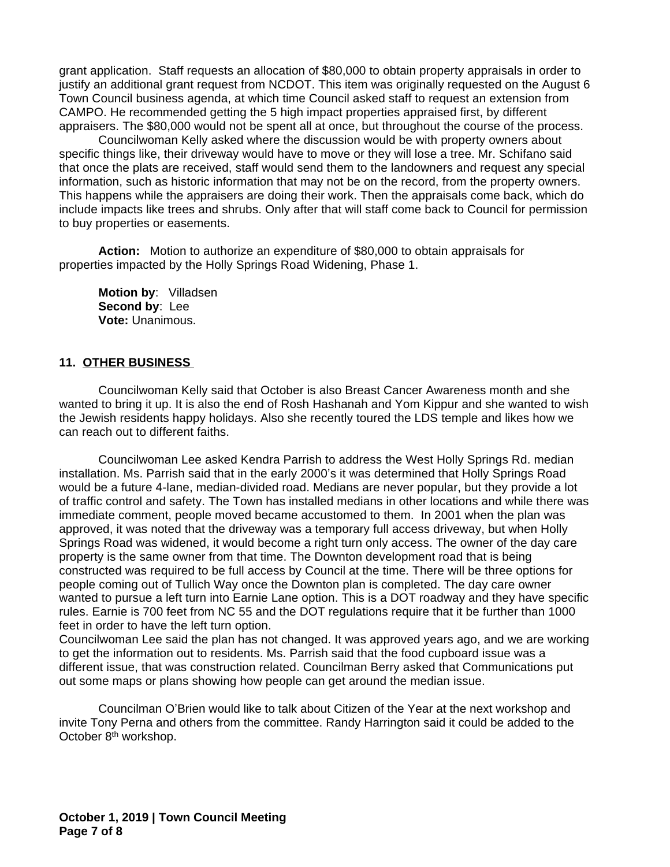grant application. Staff requests an allocation of \$80,000 to obtain property appraisals in order to justify an additional grant request from NCDOT. This item was originally requested on the August 6 Town Council business agenda, at which time Council asked staff to request an extension from CAMPO. He recommended getting the 5 high impact properties appraised first, by different appraisers. The \$80,000 would not be spent all at once, but throughout the course of the process.

Councilwoman Kelly asked where the discussion would be with property owners about specific things like, their driveway would have to move or they will lose a tree. Mr. Schifano said that once the plats are received, staff would send them to the landowners and request any special information, such as historic information that may not be on the record, from the property owners. This happens while the appraisers are doing their work. Then the appraisals come back, which do include impacts like trees and shrubs. Only after that will staff come back to Council for permission to buy properties or easements.

**Action:** Motion to authorize an expenditure of \$80,000 to obtain appraisals for properties impacted by the Holly Springs Road Widening, Phase 1.

**Motion by**: Villadsen **Second by**: Lee **Vote:** Unanimous.

#### **11. OTHER BUSINESS**

Councilwoman Kelly said that October is also Breast Cancer Awareness month and she wanted to bring it up. It is also the end of Rosh Hashanah and Yom Kippur and she wanted to wish the Jewish residents happy holidays. Also she recently toured the LDS temple and likes how we can reach out to different faiths.

Councilwoman Lee asked Kendra Parrish to address the West Holly Springs Rd. median installation. Ms. Parrish said that in the early 2000's it was determined that Holly Springs Road would be a future 4-lane, median-divided road. Medians are never popular, but they provide a lot of traffic control and safety. The Town has installed medians in other locations and while there was immediate comment, people moved became accustomed to them. In 2001 when the plan was approved, it was noted that the driveway was a temporary full access driveway, but when Holly Springs Road was widened, it would become a right turn only access. The owner of the day care property is the same owner from that time. The Downton development road that is being constructed was required to be full access by Council at the time. There will be three options for people coming out of Tullich Way once the Downton plan is completed. The day care owner wanted to pursue a left turn into Earnie Lane option. This is a DOT roadway and they have specific rules. Earnie is 700 feet from NC 55 and the DOT regulations require that it be further than 1000 feet in order to have the left turn option.

Councilwoman Lee said the plan has not changed. It was approved years ago, and we are working to get the information out to residents. Ms. Parrish said that the food cupboard issue was a different issue, that was construction related. Councilman Berry asked that Communications put out some maps or plans showing how people can get around the median issue.

Councilman O'Brien would like to talk about Citizen of the Year at the next workshop and invite Tony Perna and others from the committee. Randy Harrington said it could be added to the October 8th workshop.